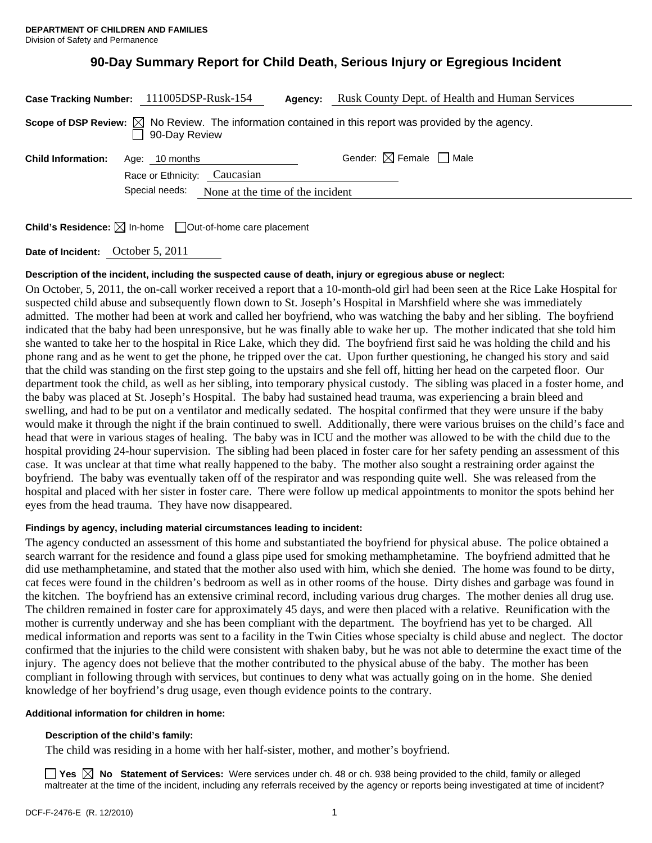# **90-Day Summary Report for Child Death, Serious Injury or Egregious Incident**

| Case Tracking Number: 111005DSP-Rusk-154                                                                                          |                              |  | Agency: | Rusk County Dept. of Health and Human Services |
|-----------------------------------------------------------------------------------------------------------------------------------|------------------------------|--|---------|------------------------------------------------|
| Scope of DSP Review: $\boxtimes$ No Review. The information contained in this report was provided by the agency.<br>90-Day Review |                              |  |         |                                                |
| <b>Child Information:</b>                                                                                                         | Age: 10 months               |  |         | Gender: $\boxtimes$ Female $\Box$ Male         |
|                                                                                                                                   | Race or Ethnicity: Caucasian |  |         |                                                |
| Special needs:<br>None at the time of the incident                                                                                |                              |  |         |                                                |
|                                                                                                                                   |                              |  |         |                                                |

**Child's Residence:**  $\boxtimes$  In-home  $\Box$  Out-of-home care placement

**Date of Incident:** October 5, 2011

### **Description of the incident, including the suspected cause of death, injury or egregious abuse or neglect:**

On October, 5, 2011, the on-call worker received a report that a 10-month-old girl had been seen at the Rice Lake Hospital for suspected child abuse and subsequently flown down to St. Joseph's Hospital in Marshfield where she was immediately admitted. The mother had been at work and called her boyfriend, who was watching the baby and her sibling. The boyfriend indicated that the baby had been unresponsive, but he was finally able to wake her up. The mother indicated that she told him she wanted to take her to the hospital in Rice Lake, which they did. The boyfriend first said he was holding the child and his phone rang and as he went to get the phone, he tripped over the cat. Upon further questioning, he changed his story and said that the child was standing on the first step going to the upstairs and she fell off, hitting her head on the carpeted floor. Our department took the child, as well as her sibling, into temporary physical custody. The sibling was placed in a foster home, and the baby was placed at St. Joseph's Hospital. The baby had sustained head trauma, was experiencing a brain bleed and swelling, and had to be put on a ventilator and medically sedated. The hospital confirmed that they were unsure if the baby would make it through the night if the brain continued to swell. Additionally, there were various bruises on the child's face and head that were in various stages of healing. The baby was in ICU and the mother was allowed to be with the child due to the hospital providing 24-hour supervision. The sibling had been placed in foster care for her safety pending an assessment of this case. It was unclear at that time what really happened to the baby. The mother also sought a restraining order against the boyfriend. The baby was eventually taken off of the respirator and was responding quite well. She was released from the hospital and placed with her sister in foster care. There were follow up medical appointments to monitor the spots behind her eyes from the head trauma. They have now disappeared.

#### **Findings by agency, including material circumstances leading to incident:**

The agency conducted an assessment of this home and substantiated the boyfriend for physical abuse. The police obtained a search warrant for the residence and found a glass pipe used for smoking methamphetamine. The boyfriend admitted that he did use methamphetamine, and stated that the mother also used with him, which she denied. The home was found to be dirty, cat feces were found in the children's bedroom as well as in other rooms of the house. Dirty dishes and garbage was found in the kitchen. The boyfriend has an extensive criminal record, including various drug charges. The mother denies all drug use. The children remained in foster care for approximately 45 days, and were then placed with a relative. Reunification with the mother is currently underway and she has been compliant with the department. The boyfriend has yet to be charged. All medical information and reports was sent to a facility in the Twin Cities whose specialty is child abuse and neglect. The doctor confirmed that the injuries to the child were consistent with shaken baby, but he was not able to determine the exact time of the injury. The agency does not believe that the mother contributed to the physical abuse of the baby. The mother has been compliant in following through with services, but continues to deny what was actually going on in the home. She denied knowledge of her boyfriend's drug usage, even though evidence points to the contrary.

#### **Additional information for children in home:**

#### **Description of the child's family:**

The child was residing in a home with her half-sister, mother, and mother's boyfriend.

**Yes No Statement of Services:** Were services under ch. 48 or ch. 938 being provided to the child, family or alleged maltreater at the time of the incident, including any referrals received by the agency or reports being investigated at time of incident?